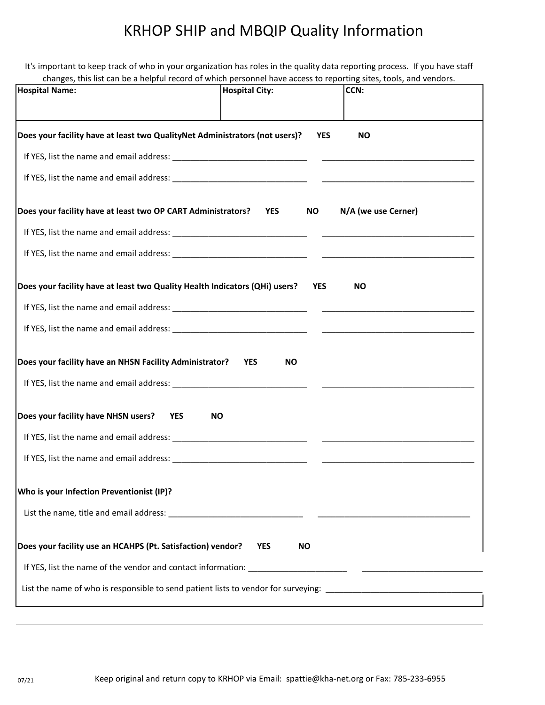## KRHOP SHIP and MBQIP Quality Information

It's important to keep track of who in your organization has roles in the quality data reporting process. If you have staff changes, this list can be a helpful record of which personnel have access to reporting sites, tools, and vendors.

| , and not can be a neiprarrecord or mindir personaler nave access to reporting sites, tools, and venue<br><b>Hospital Name:</b> | <b>Hospital City:</b>   | CCN:                |
|---------------------------------------------------------------------------------------------------------------------------------|-------------------------|---------------------|
| Does your facility have at least two QualityNet Administrators (not users)?                                                     | <b>YES</b>              | <b>NO</b>           |
|                                                                                                                                 |                         |                     |
| Does your facility have at least two OP CART Administrators?                                                                    | <b>YES</b><br><b>NO</b> | N/A (we use Cerner) |
|                                                                                                                                 |                         |                     |
|                                                                                                                                 |                         |                     |
| Does your facility have at least two Quality Health Indicators (QHi) users?                                                     | <b>YES</b>              | <b>NO</b>           |
|                                                                                                                                 |                         |                     |
|                                                                                                                                 |                         |                     |
| Does your facility have an NHSN Facility Administrator?                                                                         | <b>YES</b><br><b>NO</b> |                     |
|                                                                                                                                 |                         |                     |
| Does your facility have NHSN users?<br><b>YES</b><br><b>NO</b>                                                                  |                         |                     |
|                                                                                                                                 |                         |                     |
|                                                                                                                                 |                         |                     |
| Who is your Infection Preventionist (IP)?                                                                                       |                         |                     |
|                                                                                                                                 |                         |                     |
| Does your facility use an HCAHPS (Pt. Satisfaction) vendor?                                                                     | <b>YES</b><br><b>NO</b> |                     |
|                                                                                                                                 |                         |                     |
|                                                                                                                                 |                         |                     |